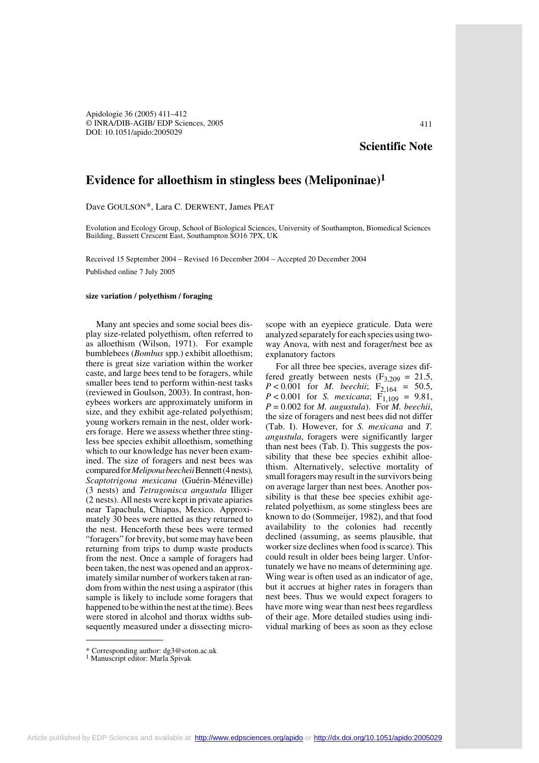Apidologie 36 (2005) 411–412 © INRA/DIB-AGIB/ EDP Sciences, 2005 DOI: 10.1051/apido:2005029

## **Scientific Note**

## **Evidence for alloethism in stingless bees (Meliponinae)1**

Dave GOULSON\*, Lara C. DERWENT, James PEAT

Evolution and Ecology Group, School of Biological Sciences, University of Southampton, Biomedical Sciences Building, Bassett Crescent East, Southampton SO16 7PX, UK

Received 15 September 2004 – Revised 16 December 2004 – Accepted 20 December 2004 Published online 7 July 2005

## **size variation / polyethism / foraging**

Many ant species and some social bees display size-related polyethism, often referred to as alloethism (Wilson, 1971). For example bumblebees (*Bombus* spp.) exhibit alloethism; there is great size variation within the worker caste, and large bees tend to be foragers, while smaller bees tend to perform within-nest tasks (reviewed in Goulson, 2003). In contrast, honeybees workers are approximately uniform in size, and they exhibit age-related polyethism; young workers remain in the nest, older workers forage. Here we assess whether three stingless bee species exhibit alloethism, something which to our knowledge has never been examined. The size of foragers and nest bees was compared for *Melipona beecheii* Bennett (4 nests)*, Scaptotrigona mexicana* (Guérin-Méneville) (3 nests) and *Tetragonisca angustula* Illiger (2 nests). All nests were kept in private apiaries near Tapachula, Chiapas, Mexico. Approximately 30 bees were netted as they returned to the nest. Henceforth these bees were termed "foragers" for brevity, but some may have been returning from trips to dump waste products from the nest. Once a sample of foragers had been taken, the nest was opened and an approximately similar number of workers taken at random from within the nest using a aspirator (this sample is likely to include some foragers that happened to be within the nest at the time). Bees were stored in alcohol and thorax widths subsequently measured under a dissecting micro-

scope with an eyepiece graticule. Data were analyzed separately for each species using twoway Anova, with nest and forager/nest bee as explanatory factors

For all three bee species, average sizes differed greatly between nests ( $F_{3,209} = 21.5$ ,  $P < 0.001$  for *M. beechii*; F<sub>2,164</sub> = 50.5,  $P < 0.001$  for *S. mexicana*;  $F_{1,109} = 9.81$ ,  $P = 0.002$  for *M. augustula*). For *M. beechii*, the size of foragers and nest bees did not differ (Tab. I). However, for *S. mexicana* and *T. angustula*, foragers were significantly larger than nest bees (Tab. I). This suggests the possibility that these bee species exhibit alloethism. Alternatively, selective mortality of small foragers may result in the survivors being on average larger than nest bees. Another possibility is that these bee species exhibit agerelated polyethism, as some stingless bees are known to do (Sommeijer, 1982), and that food availability to the colonies had recently declined (assuming, as seems plausible, that worker size declines when food is scarce). This could result in older bees being larger. Unfortunately we have no means of determining age. Wing wear is often used as an indicator of age, but it accrues at higher rates in foragers than nest bees. Thus we would expect foragers to have more wing wear than nest bees regardless of their age. More detailed studies using individual marking of bees as soon as they eclose

<sup>\*</sup> Corresponding author: dg3@soton.ac.uk

<sup>1</sup> Manuscript editor: Marla Spivak